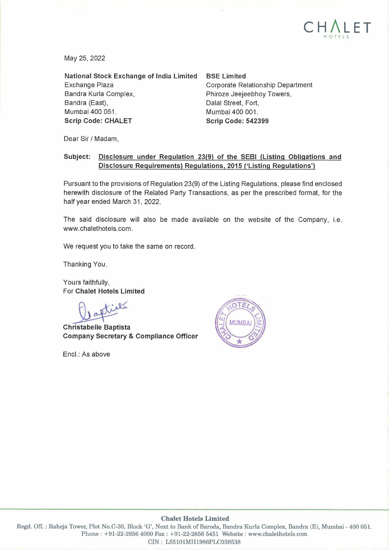

May 25, 2022

**National Stock Exchange of India Limited**  Exchange Plaza Bandra Kurla Complex, Sandra (East), Mumbai 400 051. **Scrip Code: CHALET** 

**BSE Limited** 

Corporate Relationship Department Phiroze Jeejeebhoy Towers, Dalal Street, Fort, Mumbai 400 001. **Scrip Code: 542399** 

Dear Sir/ Madam,

#### **Subject: Disclosure under Regulation 23(9) of the SEBI (Listing Obligations and Disclosure Requirements) Regulations, 2015 ('Listing Regulations')**

Pursuant to the provisions of Regulation 23(9) of the Listing Regulations, please find enclosed herewith disclosure of the Related Party Transactions, as per the prescribed format, for the half year ended March 31, 2022.

The said disclosure will also be made available on the website of the Company, i.e. www .chalethotels.com.

We request you to take the same on record.

Thanking You.

Yours faithfully, For **Chalet Hotels Limited** 

Yours faithfully,<br>
For Chalet Hotels Limited<br> **Christabelle Baptista**<br> **Christabelle Baptista Company Secretary** & **Compliance Officer** 

Encl.: As above



#### **Chalet Hotels Limited**

Regd. Off. : Raheja Tower, Plot No.C-30, Block 'G', Next to Bank of Baroda, Bandra Kurla Complex, Bandra (E), Mumbai - 400 051. Phone : +91-22-2656 4000 Fax : +91-22-2656 5451 Website : www.chalethotels.com CIN: L55101MH1986PLC038538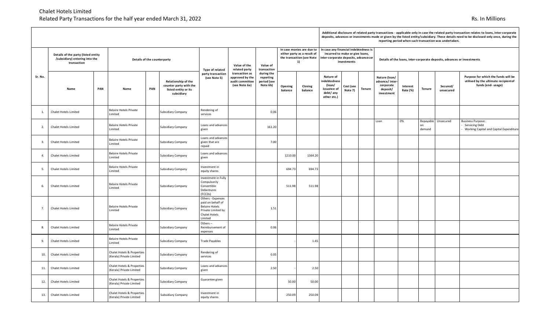|         |                                                                                      |     |                                                        |     |                                                                                     |                                                                                                                   |                                                                       |                                                    |                                                                                             |                    |                                                                                                                                 | reporting period writer such transaction was undertaken. |               |                                                                         |                      |               |                       |                                                                                                   |  |  |
|---------|--------------------------------------------------------------------------------------|-----|--------------------------------------------------------|-----|-------------------------------------------------------------------------------------|-------------------------------------------------------------------------------------------------------------------|-----------------------------------------------------------------------|----------------------------------------------------|---------------------------------------------------------------------------------------------|--------------------|---------------------------------------------------------------------------------------------------------------------------------|----------------------------------------------------------|---------------|-------------------------------------------------------------------------|----------------------|---------------|-----------------------|---------------------------------------------------------------------------------------------------|--|--|
|         | Details of the party (listed entity<br>/subsidiary) entering into the<br>transaction |     | Details of the counterparty                            |     |                                                                                     | Type of related                                                                                                   | Value of the<br>related party                                         | Value of<br>transaction                            | In case monies are due to<br>either party as a result of<br>the transaction (see Note<br>1) |                    | In case any financial indebtedness is<br>incurred to make or give loans,<br>inter-corporate deposits, advancesor<br>investments |                                                          |               | Details of the loans, inter-corporate deposits, advances or investments |                      |               |                       |                                                                                                   |  |  |
| Sr. No. | Name                                                                                 | PAN | Name                                                   | PAN | Relationship of the<br>counter party with the<br>listed entity or its<br>subsidiary | party transaction<br>(see Note 5)                                                                                 | transaction as<br>approved by the<br>audit committee<br>(see Note 6a) | during the<br>reporting<br>period (see<br>Note 6b) | Opening<br>balance                                                                          | Closing<br>balance | Nature of<br><b>ndebtedness</b><br>(loan/<br>issuance of<br>debt/any<br>other etc.)                                             | Cost (see<br>Note 7)                                     | <b>Tenure</b> | Nature (loan/<br>advance/inter<br>corporate<br>deposit/<br>investment   | Interest<br>Rate (%) | <b>Tenure</b> | Secured/<br>unsecured | Purpose for which the funds will be<br>utilised by the ultimate recipient of<br>funds (end-usage) |  |  |
| 1.      | <b>Chalet Hotels Limited</b>                                                         |     | <b>Belaire Hotels Private</b><br>Limited               |     | <b>Subsidiary Company</b>                                                           | Rendering of<br>services                                                                                          |                                                                       | 0.06                                               |                                                                                             |                    |                                                                                                                                 |                                                          |               |                                                                         |                      |               |                       |                                                                                                   |  |  |
| 2.      | Chalet Hotels Limited                                                                |     | <b>Belaire Hotels Private</b><br>Limited               |     | <b>Subsidiary Company</b>                                                           | Loans and advances<br>given                                                                                       |                                                                       | 161.20                                             |                                                                                             |                    |                                                                                                                                 |                                                          |               | Loan                                                                    | 0%                   | on<br>demand  | Repayable Unsecured   | <b>Business Purpose:</b><br><b>Servicing Debt</b><br>Working Capital and Capital Expenditure      |  |  |
| 3.      | <b>Chalet Hotels Limited</b>                                                         |     | <b>Belaire Hotels Private</b><br>Limited               |     | <b>Subsidiary Company</b>                                                           | Loans and advances<br>given that are<br>repaid                                                                    |                                                                       | 7.00                                               |                                                                                             |                    |                                                                                                                                 |                                                          |               |                                                                         |                      |               |                       |                                                                                                   |  |  |
| 4.      | <b>Chalet Hotels Limited</b>                                                         |     | <b>Belaire Hotels Private</b><br>Limited               |     | <b>Subsidiary Company</b>                                                           | Loans and advances<br>given                                                                                       |                                                                       |                                                    | 1210.00                                                                                     | 1364.20            |                                                                                                                                 |                                                          |               |                                                                         |                      |               |                       |                                                                                                   |  |  |
| 5.      | Chalet Hotels Limited                                                                |     | <b>Belaire Hotels Private</b><br>Limited               |     | <b>Subsidiary Company</b>                                                           | Investment in<br>equity shares                                                                                    |                                                                       |                                                    | 694.73                                                                                      | 694.73             |                                                                                                                                 |                                                          |               |                                                                         |                      |               |                       |                                                                                                   |  |  |
| 6.      | <b>Chalet Hotels Limited</b>                                                         |     | <b>Belaire Hotels Private</b><br>Limited               |     | <b>Subsidiary Company</b>                                                           | Investment in Fully<br>Compulsorily<br>Convertible<br>Debentures<br>(FCCDs)                                       |                                                                       |                                                    | 511.98                                                                                      | 511.98             |                                                                                                                                 |                                                          |               |                                                                         |                      |               |                       |                                                                                                   |  |  |
| 7.      | <b>Chalet Hotels Limited</b>                                                         |     | <b>Belaire Hotels Private</b><br>Limited               |     | Subsidiary Company                                                                  | Others - Expenses<br>paid on behalf of<br><b>Belaire Hotels</b><br>Private Limited by<br>Chalet Hotels<br>Limited |                                                                       | 1.51                                               |                                                                                             |                    |                                                                                                                                 |                                                          |               |                                                                         |                      |               |                       |                                                                                                   |  |  |
| 8.      | Chalet Hotels Limited                                                                |     | <b>Belaire Hotels Private</b><br>Limited               |     | <b>Subsidiary Company</b>                                                           | Others-<br>Reimbursement of<br>expenses                                                                           |                                                                       | 0.06                                               |                                                                                             |                    |                                                                                                                                 |                                                          |               |                                                                         |                      |               |                       |                                                                                                   |  |  |
| 9.      | <b>Chalet Hotels Limited</b>                                                         |     | <b>Belaire Hotels Private</b><br>Limited               |     | Subsidiary Company                                                                  | <b>Trade Payables</b>                                                                                             |                                                                       |                                                    |                                                                                             | 1.45               |                                                                                                                                 |                                                          |               |                                                                         |                      |               |                       |                                                                                                   |  |  |
| 10.     | Chalet Hotels Limited                                                                |     | Chalet Hotels & Properties<br>(Kerala) Private Limited |     | Subsidiary Company                                                                  | Rendering of<br>services                                                                                          |                                                                       | 0.05                                               |                                                                                             |                    |                                                                                                                                 |                                                          |               |                                                                         |                      |               |                       |                                                                                                   |  |  |
| 11.     | Chalet Hotels Limited                                                                |     | Chalet Hotels & Properties<br>(Kerala) Private Limited |     | <b>Subsidiary Company</b>                                                           | Loans and advances<br>given                                                                                       |                                                                       | 2.50                                               |                                                                                             | 2.50               |                                                                                                                                 |                                                          |               |                                                                         |                      |               |                       |                                                                                                   |  |  |
| 12.     | Chalet Hotels Limited                                                                |     | Chalet Hotels & Properties<br>(Kerala) Private Limited |     | Subsidiary Company                                                                  | Guarantee given                                                                                                   |                                                                       |                                                    | 50.00                                                                                       | 50.00              |                                                                                                                                 |                                                          |               |                                                                         |                      |               |                       |                                                                                                   |  |  |
| 13.     | Chalet Hotels Limited                                                                |     | Chalet Hotels & Properties<br>(Kerala) Private Limited |     | Subsidiary Company                                                                  | Investment in<br>equity shares                                                                                    |                                                                       |                                                    | 250.09                                                                                      | 250.09             |                                                                                                                                 |                                                          |               |                                                                         |                      |               |                       |                                                                                                   |  |  |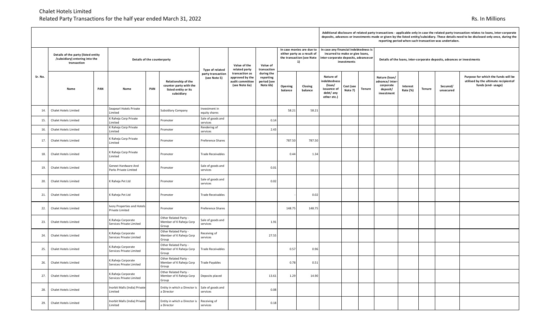|         |                                                                                      |     |                                                |     |                                                                                     |                                   |                                                                       |                                                    |                                                                                             |                    |                                                                                                                   | reporting period when such transaction was undertaken. |        |                                                                         |                      |        |                       |                                                                                                  |  |  |  |
|---------|--------------------------------------------------------------------------------------|-----|------------------------------------------------|-----|-------------------------------------------------------------------------------------|-----------------------------------|-----------------------------------------------------------------------|----------------------------------------------------|---------------------------------------------------------------------------------------------|--------------------|-------------------------------------------------------------------------------------------------------------------|--------------------------------------------------------|--------|-------------------------------------------------------------------------|----------------------|--------|-----------------------|--------------------------------------------------------------------------------------------------|--|--|--|
|         | Details of the party (listed entity<br>/subsidiary) entering into the<br>transaction |     | Details of the counterparty                    |     |                                                                                     | Type of related                   | Value of the<br>related party                                         | Value of<br>transaction                            | In case monies are due to<br>either party as a result of<br>the transaction (see Note<br>1) |                    | In case any financial indebtedness is<br>incurred to make or give loans,<br>inter-corporate deposits, advances or | investments                                            |        | Details of the loans, inter-corporate deposits, advances or investments |                      |        |                       |                                                                                                  |  |  |  |
| Sr. No. | Name                                                                                 | PAN | Name                                           | PAN | Relationship of the<br>counter party with the<br>listed entity or its<br>subsidiary | party transaction<br>(see Note 5) | transaction as<br>approved by the<br>audit committee<br>(see Note 6a) | during the<br>reporting<br>period (see<br>Note 6b) | Opening<br>balance                                                                          | Closing<br>balance | Nature of<br>indebtedness<br>(loan/<br>issuance of<br>debt/any<br>other etc.)                                     | Cost (see<br>Note 7)                                   | Tenure | Nature (loan/<br>advance/inter<br>corporate<br>deposit/<br>investment   | Interest<br>Rate (%) | Tenure | Secured/<br>unsecured | Purpose for which the funds will be<br>utilised by the ultimate recipientof<br>funds (end-usage) |  |  |  |
| 14.     | Chalet Hotels Limited                                                                |     | Seapearl Hotels Private<br>Limited             |     | <b>Subsidiary Company</b>                                                           | Investment in<br>equity shares    |                                                                       |                                                    | 58.21                                                                                       | 58.21              |                                                                                                                   |                                                        |        |                                                                         |                      |        |                       |                                                                                                  |  |  |  |
| 15.     | Chalet Hotels Limited                                                                |     | K Raheja Corp Private<br>Limited               |     | Promoter                                                                            | Sale of goods and<br>services     |                                                                       | 0.14                                               |                                                                                             |                    |                                                                                                                   |                                                        |        |                                                                         |                      |        |                       |                                                                                                  |  |  |  |
| 16.     | Chalet Hotels Limited                                                                |     | K Raheja Corp Private<br>Limited               |     | Promoter                                                                            | Rendering of<br>services          |                                                                       | 2.43                                               |                                                                                             |                    |                                                                                                                   |                                                        |        |                                                                         |                      |        |                       |                                                                                                  |  |  |  |
| 17.     | Chalet Hotels Limited                                                                |     | K Raheja Corp Private<br>Limited               |     | Promoter                                                                            | Preference Shares                 |                                                                       |                                                    | 787.50                                                                                      | 787.50             |                                                                                                                   |                                                        |        |                                                                         |                      |        |                       |                                                                                                  |  |  |  |
| 18.     | Chalet Hotels Limited                                                                |     | K Raheja Corp Private<br>Limited               |     | Promoter                                                                            | <b>Trade Receivables</b>          |                                                                       |                                                    | 0.44                                                                                        | 1.34               |                                                                                                                   |                                                        |        |                                                                         |                      |        |                       |                                                                                                  |  |  |  |
| 19.     | <b>Chalet Hotels Limited</b>                                                         |     | Genext Hardware And<br>Parks Private Limited   |     | Promoter                                                                            | Sale of goods and<br>services     |                                                                       | 0.01                                               |                                                                                             |                    |                                                                                                                   |                                                        |        |                                                                         |                      |        |                       |                                                                                                  |  |  |  |
| 20.     | Chalet Hotels Limited                                                                |     | K Raheja Pvt Ltd                               |     | Promoter                                                                            | Sale of goods and<br>services     |                                                                       | 0.02                                               |                                                                                             |                    |                                                                                                                   |                                                        |        |                                                                         |                      |        |                       |                                                                                                  |  |  |  |
| 21.     | Chalet Hotels Limited                                                                |     | K Raheja Pvt Ltd                               |     | Promoter                                                                            | <b>Trade Receivables</b>          |                                                                       |                                                    |                                                                                             | 0.02               |                                                                                                                   |                                                        |        |                                                                         |                      |        |                       |                                                                                                  |  |  |  |
| 22.     | <b>Chalet Hotels Limited</b>                                                         |     | vory Properties and Hotels<br>Private Limited  |     | Promoter                                                                            | Preference Shares                 |                                                                       |                                                    | 148.75                                                                                      | 148.75             |                                                                                                                   |                                                        |        |                                                                         |                      |        |                       |                                                                                                  |  |  |  |
| 23.     | Chalet Hotels Limited                                                                |     | K.Raheja Corporate<br>Services Private Limited |     | Other Related Party -<br>Member of K Raheja Corp<br>Group                           | Sale of goods and<br>services     |                                                                       | 1.91                                               |                                                                                             |                    |                                                                                                                   |                                                        |        |                                                                         |                      |        |                       |                                                                                                  |  |  |  |
| 24.     | Chalet Hotels Limited                                                                |     | K.Raheja Corporate<br>Services Private Limited |     | Other Related Party -<br>Member of K Raheja Corp<br>Group                           | Receiving of<br>services          |                                                                       | 27.55                                              |                                                                                             |                    |                                                                                                                   |                                                        |        |                                                                         |                      |        |                       |                                                                                                  |  |  |  |
| 25.     | Chalet Hotels Limited                                                                |     | K.Raheja Corporate<br>Services Private Limited |     | Other Related Party -<br>Member of K Raheja Corp<br>Group                           | <b>Trade Receivables</b>          |                                                                       |                                                    | 0.57                                                                                        | 0.96               |                                                                                                                   |                                                        |        |                                                                         |                      |        |                       |                                                                                                  |  |  |  |
| 26.     | Chalet Hotels Limited                                                                |     | C.Raheja Corporate<br>Services Private Limited |     | Other Related Party -<br>Member of K Raheja Corp<br>Group                           | <b>Trade Payables</b>             |                                                                       |                                                    | 0.78                                                                                        | 0.51               |                                                                                                                   |                                                        |        |                                                                         |                      |        |                       |                                                                                                  |  |  |  |
| 27.     | Chalet Hotels Limited                                                                |     | K.Raheja Corporate<br>Services Private Limited |     | Other Related Party -<br>Member of K Raheja Corp<br>Group                           | Deposits placed                   |                                                                       | 13.61                                              | 1.29                                                                                        | 14.90              |                                                                                                                   |                                                        |        |                                                                         |                      |        |                       |                                                                                                  |  |  |  |
| 28.     | Chalet Hotels Limited                                                                |     | Inorbit Malls (India) Private<br>Limited       |     | Entity in which a Director is<br>a Director                                         | Sale of goods and<br>services     |                                                                       | 0.08                                               |                                                                                             |                    |                                                                                                                   |                                                        |        |                                                                         |                      |        |                       |                                                                                                  |  |  |  |
| 29.     | Chalet Hotels Limited                                                                |     | Inorbit Malls (India) Private<br>Limited       |     | Entity in which a Director is<br>a Director                                         | Receiving of<br>services          |                                                                       | 0.18                                               |                                                                                             |                    |                                                                                                                   |                                                        |        |                                                                         |                      |        |                       |                                                                                                  |  |  |  |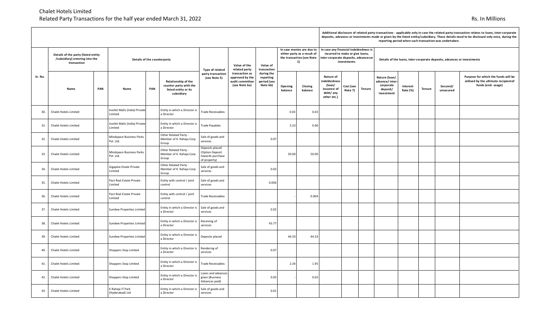|         |                                                                                      |     |                                          |     |                                                                                     |                                                                        |                                                                       |                                                                                             |                    |                                                                                                                                  |                                                                              | reporting period writer such transaction was undertaken. |                                                                         |                                                                        |                      |               |                       |                                                                                                   |  |  |
|---------|--------------------------------------------------------------------------------------|-----|------------------------------------------|-----|-------------------------------------------------------------------------------------|------------------------------------------------------------------------|-----------------------------------------------------------------------|---------------------------------------------------------------------------------------------|--------------------|----------------------------------------------------------------------------------------------------------------------------------|------------------------------------------------------------------------------|----------------------------------------------------------|-------------------------------------------------------------------------|------------------------------------------------------------------------|----------------------|---------------|-----------------------|---------------------------------------------------------------------------------------------------|--|--|
|         | Details of the party (listed entity<br>/subsidiary) entering into the<br>transaction |     | Details of the counterparty              |     | Type of related                                                                     | Value of the<br>related party                                          | Value of<br>transaction                                               | In case monies are due to<br>either party as a result of<br>the transaction (see Note<br>1) |                    | In case any financial indebtedness is<br>incurred to make or give loans,<br>inter-corporate deposits, advances or<br>investments |                                                                              |                                                          | Details of the loans, inter-corporate deposits, advances or investments |                                                                        |                      |               |                       |                                                                                                   |  |  |
| Sr. No. | Name                                                                                 | PAN | Name                                     | PAN | Relationship of the<br>counter party with the<br>listed entity or its<br>subsidiary | party transaction<br>(see Note 5)                                      | transaction as<br>approved by the<br>audit committee<br>(see Note 6a) | during the<br>reporting<br>period (see<br>Note 6b)                                          | Opening<br>balance | Closing<br>balance                                                                                                               | Nature of<br>ndebtedness<br>(loan/<br>issuance of<br>debt/any<br>other etc.) | Cost (see<br>Note 7)                                     | <b>Tenure</b>                                                           | Nature (loan/<br>advance/inter-<br>corporate<br>deposit/<br>investment | Interest<br>Rate (%) | <b>Tenure</b> | Secured/<br>unsecured | Purpose for which the funds will be<br>utilised by the ultimate recipient of<br>funds (end-usage) |  |  |
| 30.     | Chalet Hotels Limited                                                                |     | Inorbit Malls (India) Private<br>Limited |     | Entity in which a Director is<br>a Director                                         | <b>Trade Receivables</b>                                               |                                                                       |                                                                                             | 0.03               | 0.03                                                                                                                             |                                                                              |                                                          |                                                                         |                                                                        |                      |               |                       |                                                                                                   |  |  |
| 31.     | Chalet Hotels Limited                                                                |     | Inorbit Malls (India) Private<br>Limited |     | Entity in which a Director is<br>a Director                                         | <b>Trade Payables</b>                                                  |                                                                       |                                                                                             | 3.23               | 0.06                                                                                                                             |                                                                              |                                                          |                                                                         |                                                                        |                      |               |                       |                                                                                                   |  |  |
| 32.     | <b>Chalet Hotels Limited</b>                                                         |     | Mindspace Business Parks<br>Pvt. Ltd.    |     | Other Related Party -<br>Member of K. Raheja Corp<br>Group                          | Sale of goods and<br>services                                          |                                                                       | 0.07                                                                                        |                    |                                                                                                                                  |                                                                              |                                                          |                                                                         |                                                                        |                      |               |                       |                                                                                                   |  |  |
| 33.     | Chalet Hotels Limited                                                                |     | Mindspace Business Parks<br>Pvt. Ltd.    |     | Other Related Party -<br>Member of K. Raheja Corp<br>Group                          | Deposits placed<br>(Option Deposit<br>towards purchase<br>of property) |                                                                       |                                                                                             | 50.00              | 50.00                                                                                                                            |                                                                              |                                                          |                                                                         |                                                                        |                      |               |                       |                                                                                                   |  |  |
| 34.     | Chalet Hotels Limited                                                                |     | Gigaplex Estate Private<br>Limited       |     | Other Related Party -<br>Member of K. Raheja Corp<br>Group                          | Sale of goods and<br>services                                          |                                                                       | 0.03                                                                                        |                    |                                                                                                                                  |                                                                              |                                                          |                                                                         |                                                                        |                      |               |                       |                                                                                                   |  |  |
| 35.     | Chalet Hotels Limited                                                                |     | Pact Real Estate Private<br>Limited      |     | Entity with control / joint<br>control                                              | Sale of goods and<br>services                                          |                                                                       | 0.004                                                                                       |                    |                                                                                                                                  |                                                                              |                                                          |                                                                         |                                                                        |                      |               |                       |                                                                                                   |  |  |
| 36.     | Chalet Hotels Limited                                                                |     | Pact Real Estate Private<br>Limited      |     | Entity with control / joint<br>control                                              | <b>Trade Receivables</b>                                               |                                                                       |                                                                                             |                    | 0.004                                                                                                                            |                                                                              |                                                          |                                                                         |                                                                        |                      |               |                       |                                                                                                   |  |  |
| 37.     | Chalet Hotels Limited                                                                |     | Sundew Properties Limited                |     | Entity in which a Director is<br>a Director                                         | Sale of goods and<br>services                                          |                                                                       | 0.02                                                                                        |                    |                                                                                                                                  |                                                                              |                                                          |                                                                         |                                                                        |                      |               |                       |                                                                                                   |  |  |
| 38.     | Chalet Hotels Limited                                                                |     | <b>Sundew Properties Limited</b>         |     | Entity in which a Director is<br>a Director                                         | Receiving of<br>services                                               |                                                                       | 43.77                                                                                       |                    |                                                                                                                                  |                                                                              |                                                          |                                                                         |                                                                        |                      |               |                       |                                                                                                   |  |  |
| 39.     | Chalet Hotels Limited                                                                |     | <b>Sundew Properties Limited</b>         |     | Entity in which a Director is<br>a Director                                         | Deposits placed                                                        |                                                                       |                                                                                             | 44.33              | 44.33                                                                                                                            |                                                                              |                                                          |                                                                         |                                                                        |                      |               |                       |                                                                                                   |  |  |
| 40.     | Chalet Hotels Limited                                                                |     | Shoppers Stop Limited                    |     | Entity in which a Director is<br>a Director                                         | Rendering of<br>services                                               |                                                                       | 0.07                                                                                        |                    |                                                                                                                                  |                                                                              |                                                          |                                                                         |                                                                        |                      |               |                       |                                                                                                   |  |  |
| 41.     | Chalet Hotels Limited                                                                |     | Shoppers Stop Limited                    |     | Entity in which a Director is<br>a Director                                         | <b>Trade Receivables</b>                                               |                                                                       |                                                                                             | 2.34               | 1.95                                                                                                                             |                                                                              |                                                          |                                                                         |                                                                        |                      |               |                       |                                                                                                   |  |  |
| 42.     | Chalet Hotels Limited                                                                |     | Shoppers Stop Limited                    |     | Entity in which a Director is<br>a Director                                         | Loans and advances<br>given (Business<br>Advances paid)                |                                                                       | 0.03                                                                                        |                    | 0.03                                                                                                                             |                                                                              |                                                          |                                                                         |                                                                        |                      |               |                       |                                                                                                   |  |  |
| 43.     | Chalet Hotels Limited                                                                |     | K Raheja IT Park<br>(Hyderabad) Ltd      |     | Entity in which a Director is<br>a Director                                         | Sale of goods and<br>services                                          |                                                                       | 0.01                                                                                        |                    |                                                                                                                                  |                                                                              |                                                          |                                                                         |                                                                        |                      |               |                       |                                                                                                   |  |  |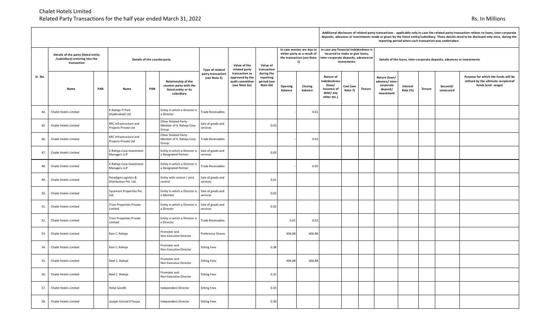|         |                                                                                      |                                                |     |                                                                                     |                                   |                                                                       |                                                    |                                                                                             |                    |                                                                              | reporting period when such transaction was undertaken.                                                                          |                                                                         |                      |               |                       |                                                                                                   |  |  |  |
|---------|--------------------------------------------------------------------------------------|------------------------------------------------|-----|-------------------------------------------------------------------------------------|-----------------------------------|-----------------------------------------------------------------------|----------------------------------------------------|---------------------------------------------------------------------------------------------|--------------------|------------------------------------------------------------------------------|---------------------------------------------------------------------------------------------------------------------------------|-------------------------------------------------------------------------|----------------------|---------------|-----------------------|---------------------------------------------------------------------------------------------------|--|--|--|
|         | Details of the party (listed entity<br>/subsidiary) entering into the<br>transaction | Details of the counterparty                    |     |                                                                                     | Type of related                   | Value of the<br>related party                                         | Value of<br>transaction                            | In case monies are due to<br>either party as a result of<br>the transaction (see Note<br>1) |                    |                                                                              | In case any financial indebtedness is<br>incurred to make or give loans,<br>inter-corporate deposits, advancesor<br>investments | Details of the loans, inter-corporate deposits, advances or investments |                      |               |                       |                                                                                                   |  |  |  |
| Sr. No. | PAN<br>Name                                                                          | Name                                           | PAN | Relationship of the<br>counter party with the<br>listed entity or its<br>subsidiary | party transaction<br>(see Note 5) | transaction as<br>approved by the<br>audit committee<br>(see Note 6a) | during the<br>reporting<br>period (see<br>Note 6b) | Opening<br>balance                                                                          | Closing<br>balance | Nature of<br>ndebtedness<br>(loan/<br>issuance of<br>debt/any<br>other etc.) | Cost (see<br><b>Tenure</b><br>Note 7)                                                                                           | Nature (loan/<br>advance/inter<br>corporate<br>deposit/<br>investment   | Interest<br>Rate (%) | <b>Tenure</b> | Secured/<br>unsecured | Purpose for which the funds will be<br>utilised by the ultimate recipient of<br>funds (end-usage) |  |  |  |
| 44.     | Chalet Hotels Limited                                                                | K Raheja IT Park<br>(Hyderabad) Ltd            |     | Entity in which a Director is<br>a Director                                         | <b>Trade Receivables</b>          |                                                                       |                                                    |                                                                                             | 0.01               |                                                                              |                                                                                                                                 |                                                                         |                      |               |                       |                                                                                                   |  |  |  |
| 45.     | Chalet Hotels Limited                                                                | KRC Infrastructure and<br>Projects Private Ltd |     | Other Related Party -<br>Member of K. Raheja Corp<br>Group                          | Sale of goods and<br>services     |                                                                       | 0.03                                               |                                                                                             |                    |                                                                              |                                                                                                                                 |                                                                         |                      |               |                       |                                                                                                   |  |  |  |
| 46.     | Chalet Hotels Limited                                                                | KRC Infrastructure and<br>Projects Private Ltd |     | Other Related Party -<br>Member of K. Raheja Corp<br>Group                          | <b>Trade Receivables</b>          |                                                                       |                                                    |                                                                                             | 0.03               |                                                                              |                                                                                                                                 |                                                                         |                      |               |                       |                                                                                                   |  |  |  |
| 47.     | Chalet Hotels Limited                                                                | K Raheja Corp Investment<br>Managers LLP       |     | Entity in which a Director is<br>a Designated Partner                               | Sale of goods and<br>services     |                                                                       | 0.05                                               |                                                                                             |                    |                                                                              |                                                                                                                                 |                                                                         |                      |               |                       |                                                                                                   |  |  |  |
| 48.     | Chalet Hotels Limited                                                                | K Raheja Corp Investment<br>Managers LLP       |     | Entity in which a Director is<br>a Designated Partner                               | <b>Trade Receivables</b>          |                                                                       |                                                    |                                                                                             | 0.05               |                                                                              |                                                                                                                                 |                                                                         |                      |               |                       |                                                                                                   |  |  |  |
| 49.     | Chalet Hotels Limited                                                                | Paradigm Logistics &<br>Distribution Pvt. Ltd. |     | Entity with control / joint<br>control                                              | Sale of goods and<br>services     |                                                                       | 0.01                                               |                                                                                             |                    |                                                                              |                                                                                                                                 |                                                                         |                      |               |                       |                                                                                                   |  |  |  |
| 50.     | Chalet Hotels Limited                                                                | Sycamore Properties Pvt.<br>Ltd.               |     | Entity in which a Director is<br>a Member                                           | Sale of goods and<br>services     |                                                                       | 0.02                                               |                                                                                             |                    |                                                                              |                                                                                                                                 |                                                                         |                      |               |                       |                                                                                                   |  |  |  |
| 51.     | Chalet Hotels Limited                                                                | <b>Trion Properties Private</b><br>Limited     |     | Entity in which a Director is<br>a Director                                         | Sale of goods and<br>services     |                                                                       | 0.02                                               |                                                                                             |                    |                                                                              |                                                                                                                                 |                                                                         |                      |               |                       |                                                                                                   |  |  |  |
| 52.     | <b>Chalet Hotels Limited</b>                                                         | <b>Trion Properties Private</b><br>Limited     |     | Entity in which a Director is<br>a Director                                         | <b>Trade Receivables</b>          |                                                                       |                                                    | 0.01                                                                                        | 0.02               |                                                                              |                                                                                                                                 |                                                                         |                      |               |                       |                                                                                                   |  |  |  |
| 53.     | Chalet Hotels Limited                                                                | Ravi C. Raheja                                 |     | Promoter and<br>Non-Executive Director                                              | Preference Shares                 |                                                                       |                                                    | 406.88                                                                                      | 406.88             |                                                                              |                                                                                                                                 |                                                                         |                      |               |                       |                                                                                                   |  |  |  |
| 54.     | <b>Chalet Hotels Limited</b>                                                         | Ravi C. Raheja                                 |     | Promoter and<br>Non-Executive Director                                              | <b>Sitting Fees</b>               |                                                                       | 0.38                                               |                                                                                             |                    |                                                                              |                                                                                                                                 |                                                                         |                      |               |                       |                                                                                                   |  |  |  |
| 55.     | Chalet Hotels Limited                                                                | Neel C. Raheja                                 |     | Promoter and<br>Non-Executive Director                                              | <b>Sitting Fees</b>               |                                                                       |                                                    | 406.88                                                                                      | 406.88             |                                                                              |                                                                                                                                 |                                                                         |                      |               |                       |                                                                                                   |  |  |  |
| 56.     | Chalet Hotels Limited                                                                | Neel C. Raheja                                 |     | Promoter and<br>Non-Executive Director                                              | <b>Sitting Fees</b>               |                                                                       | 0.25                                               |                                                                                             |                    |                                                                              |                                                                                                                                 |                                                                         |                      |               |                       |                                                                                                   |  |  |  |
| 57.     | Chalet Hotels Limited                                                                | Hetal Gandhi                                   |     | Independent Director                                                                | <b>Sitting Fees</b>               |                                                                       | 0.35                                               |                                                                                             |                    |                                                                              |                                                                                                                                 |                                                                         |                      |               |                       |                                                                                                   |  |  |  |
| 58.     | Chalet Hotels Limited                                                                | Joseph Conrad D'Souza                          |     | Independent Director                                                                | <b>Sitting Fees</b>               |                                                                       | 0.38                                               |                                                                                             |                    |                                                                              |                                                                                                                                 |                                                                         |                      |               |                       |                                                                                                   |  |  |  |